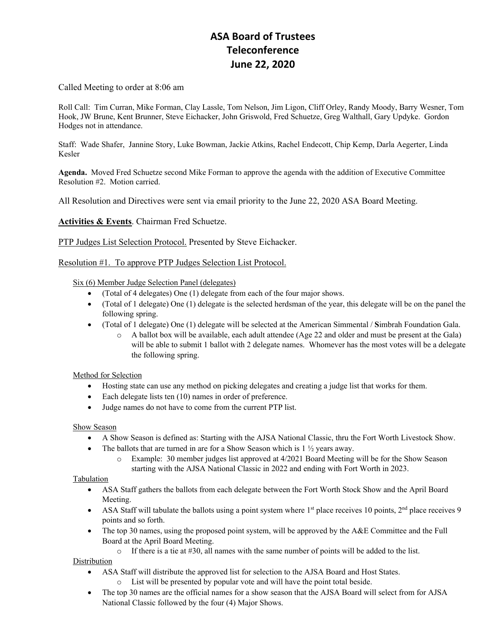# **ASA Board of Trustees Teleconference June 22, 2020**

Called Meeting to order at 8:06 am

Roll Call: Tim Curran, Mike Forman, Clay Lassle, Tom Nelson, Jim Ligon, Cliff Orley, Randy Moody, Barry Wesner, Tom Hook, JW Brune, Kent Brunner, Steve Eichacker, John Griswold, Fred Schuetze, Greg Walthall, Gary Updyke. Gordon Hodges not in attendance.

Staff: Wade Shafer, Jannine Story, Luke Bowman, Jackie Atkins, Rachel Endecott, Chip Kemp, Darla Aegerter, Linda Kesler

**Agenda.** Moved Fred Schuetze second Mike Forman to approve the agenda with the addition of Executive Committee Resolution #2. Motion carried.

All Resolution and Directives were sent via email priority to the June 22, 2020 ASA Board Meeting.

**Activities & Events**. Chairman Fred Schuetze.

PTP Judges List Selection Protocol. Presented by Steve Eichacker.

Resolution #1. To approve PTP Judges Selection List Protocol.

Six (6) Member Judge Selection Panel (delegates)

- (Total of 4 delegates) One (1) delegate from each of the four major shows.
- (Total of 1 delegate) One (1) delegate is the selected herdsman of the year, this delegate will be on the panel the following spring.
- (Total of 1 delegate) One (1) delegate will be selected at the American Simmental / **S**imbrah Foundation Gala.
	- o A ballot box will be available, each adult attendee (Age 22 and older and must be present at the Gala) will be able to submit 1 ballot with 2 delegate names. Whomever has the most votes will be a delegate the following spring.

### Method for Selection

- Hosting state can use any method on picking delegates and creating a judge list that works for them.
- Each delegate lists ten (10) names in order of preference.
- Judge names do not have to come from the current PTP list.

### Show Season

- A Show Season is defined as: Starting with the AJSA National Classic, thru the Fort Worth Livestock Show.
- The ballots that are turned in are for a Show Season which is  $1 \frac{1}{2}$  years away.
	- o Example: 30 member judges list approved at 4/2021 Board Meeting will be for the Show Season starting with the AJSA National Classic in 2022 and ending with Fort Worth in 2023.

### Tabulation

- ASA Staff gathers the ballots from each delegate between the Fort Worth Stock Show and the April Board Meeting.
- ASA Staff will tabulate the ballots using a point system where  $1<sup>st</sup>$  place receives 10 points,  $2<sup>nd</sup>$  place receives 9 points and so forth.
- The top 30 names, using the proposed point system, will be approved by the A&E Committee and the Full Board at the April Board Meeting.

 $\circ$  If there is a tie at #30, all names with the same number of points will be added to the list.

### Distribution

- ASA Staff will distribute the approved list for selection to the AJSA Board and Host States.
	- o List will be presented by popular vote and will have the point total beside.
- The top 30 names are the official names for a show season that the AJSA Board will select from for AJSA National Classic followed by the four (4) Major Shows.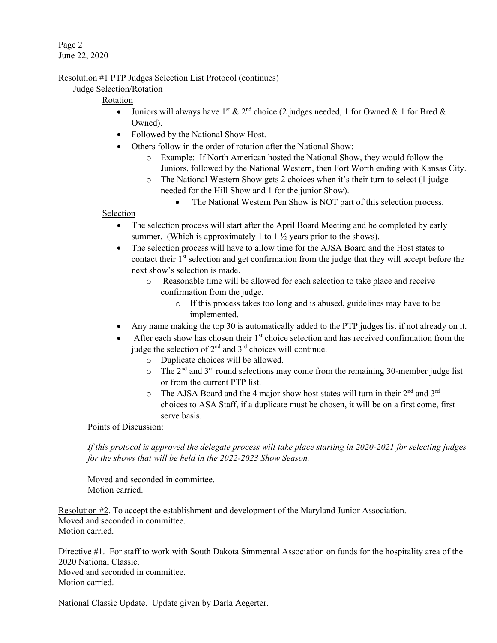Page 2 June 22, 2020

Resolution #1 PTP Judges Selection List Protocol (continues)

## Judge Selection/Rotation

# Rotation

- Juniors will always have 1<sup>st</sup> & 2<sup>nd</sup> choice (2 judges needed, 1 for Owned & 1 for Bred & Owned).
- Followed by the National Show Host.
- Others follow in the order of rotation after the National Show:
	- o Example: If North American hosted the National Show, they would follow the Juniors, followed by the National Western, then Fort Worth ending with Kansas City.
	- o The National Western Show gets 2 choices when it's their turn to select (1 judge needed for the Hill Show and 1 for the junior Show).
		- The National Western Pen Show is NOT part of this selection process.

### Selection

- The selection process will start after the April Board Meeting and be completed by early summer. (Which is approximately 1 to  $1\frac{1}{2}$  years prior to the shows).
- The selection process will have to allow time for the AJSA Board and the Host states to contact their 1<sup>st</sup> selection and get confirmation from the judge that they will accept before the next show's selection is made.
	- o Reasonable time will be allowed for each selection to take place and receive confirmation from the judge.
		- o If this process takes too long and is abused, guidelines may have to be implemented.
- Any name making the top 30 is automatically added to the PTP judges list if not already on it.
- After each show has chosen their  $1<sup>st</sup>$  choice selection and has received confirmation from the judge the selection of  $2<sup>nd</sup>$  and  $3<sup>rd</sup>$  choices will continue.
	- o Duplicate choices will be allowed.
	- $\circ$  The 2<sup>nd</sup> and 3<sup>rd</sup> round selections may come from the remaining 30-member judge list or from the current PTP list.
	- $\circ$  The AJSA Board and the 4 major show host states will turn in their  $2^{nd}$  and  $3^{rd}$ choices to ASA Staff, if a duplicate must be chosen, it will be on a first come, first serve basis.

Points of Discussion:

*If this protocol is approved the delegate process will take place starting in 2020-2021 for selecting judges for the shows that will be held in the 2022-2023 Show Season.*

Moved and seconded in committee. Motion carried.

Resolution #2. To accept the establishment and development of the Maryland Junior Association. Moved and seconded in committee. Motion carried.

Directive #1. For staff to work with South Dakota Simmental Association on funds for the hospitality area of the 2020 National Classic. Moved and seconded in committee. Motion carried.

National Classic Update. Update given by Darla Aegerter.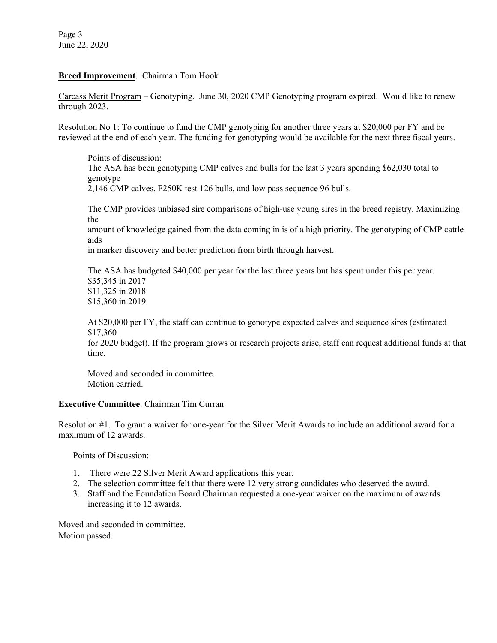Page 3 June 22, 2020

### **Breed Improvement**. Chairman Tom Hook

Carcass Merit Program – Genotyping. June 30, 2020 CMP Genotyping program expired. Would like to renew through 2023.

Resolution No 1: To continue to fund the CMP genotyping for another three years at \$20,000 per FY and be reviewed at the end of each year. The funding for genotyping would be available for the next three fiscal years.

Points of discussion: The ASA has been genotyping CMP calves and bulls for the last 3 years spending \$62,030 total to genotype 2,146 CMP calves, F250K test 126 bulls, and low pass sequence 96 bulls.

The CMP provides unbiased sire comparisons of high-use young sires in the breed registry. Maximizing the

amount of knowledge gained from the data coming in is of a high priority. The genotyping of CMP cattle aids

in marker discovery and better prediction from birth through harvest.

The ASA has budgeted \$40,000 per year for the last three years but has spent under this per year. \$35,345 in 2017 \$11,325 in 2018 \$15,360 in 2019

At \$20,000 per FY, the staff can continue to genotype expected calves and sequence sires (estimated \$17,360

for 2020 budget). If the program grows or research projects arise, staff can request additional funds at that time.

Moved and seconded in committee. Motion carried.

### **Executive Committee**. Chairman Tim Curran

Resolution #1. To grant a waiver for one-year for the Silver Merit Awards to include an additional award for a maximum of 12 awards.

Points of Discussion:

- 1. There were 22 Silver Merit Award applications this year.
- 2. The selection committee felt that there were 12 very strong candidates who deserved the award.
- 3. Staff and the Foundation Board Chairman requested a one-year waiver on the maximum of awards increasing it to 12 awards.

Moved and seconded in committee. Motion passed.